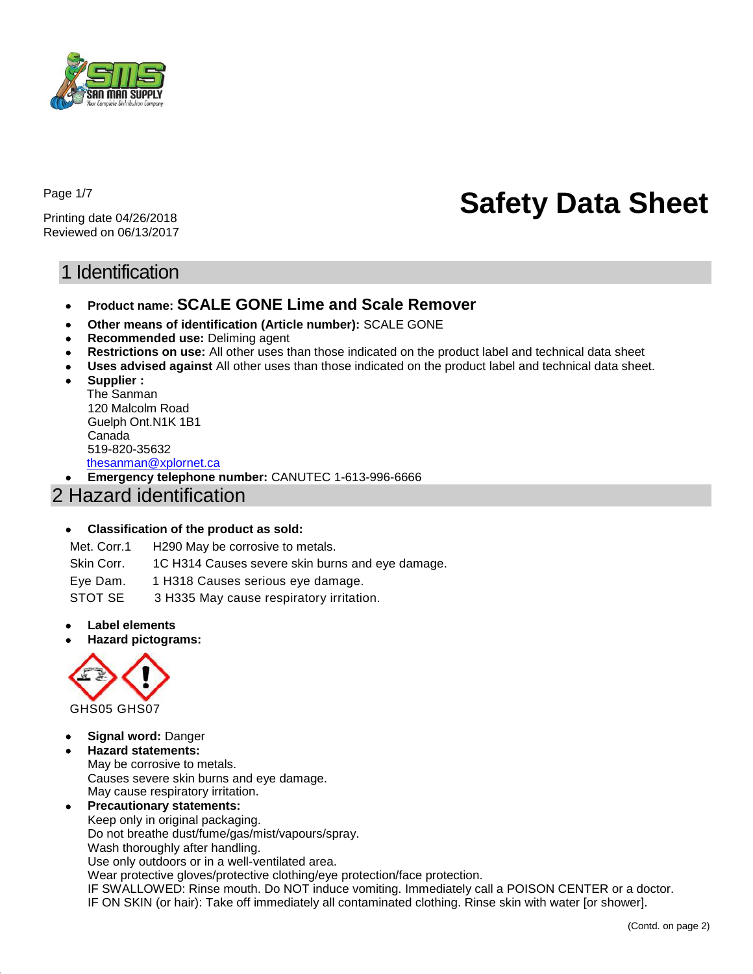

Page 1/7

Printing date 04/26/2018 Reviewed on 06/13/2017

# **Safety Data Sheet**

# 1 Identification

- **Product name: SCALE GONE Lime and Scale Remover**
- **Other means of identification (Article number):** SCALE GONE
- **Recommended use:** Deliming agent
- **Restrictions on use:** All other uses than those indicated on the product label and technical data sheet
- **Uses advised against** All other uses than those indicated on the product label and technical data sheet.
- **Supplier :**  The Sanman 120 Malcolm Road Guelph Ont.N1K 1B1 Canada 519-820-35632 [thesanman@xplornet.ca](mailto:thesanman@xplornet.ca)

**Emergency telephone number:** CANUTEC 1-613-996-6666

## 2 Hazard identification

#### **Classification of the product as sold:**

Met. Corr.1 H290 May be corrosive to metals.

Skin Corr. 1C H314 Causes severe skin burns and eye damage.

Eye Dam. 1 H318 Causes serious eye damage.

STOT SE 3 H335 May cause respiratory irritation.

- **Label elements**
- **Hazard pictograms:**



- **Signal word:** Danger
- **Hazard statements:**

May be corrosive to metals. Causes severe skin burns and eye damage. May cause respiratory irritation.

 **Precautionary statements:** Keep only in original packaging. Do not breathe dust/fume/gas/mist/vapours/spray. Wash thoroughly after handling. Use only outdoors or in a well-ventilated area. Wear protective gloves/protective clothing/eye protection/face protection.

IF SWALLOWED: Rinse mouth. Do NOT induce vomiting. Immediately call a POISON CENTER or a doctor. IF ON SKIN (or hair): Take off immediately all contaminated clothing. Rinse skin with water [or shower].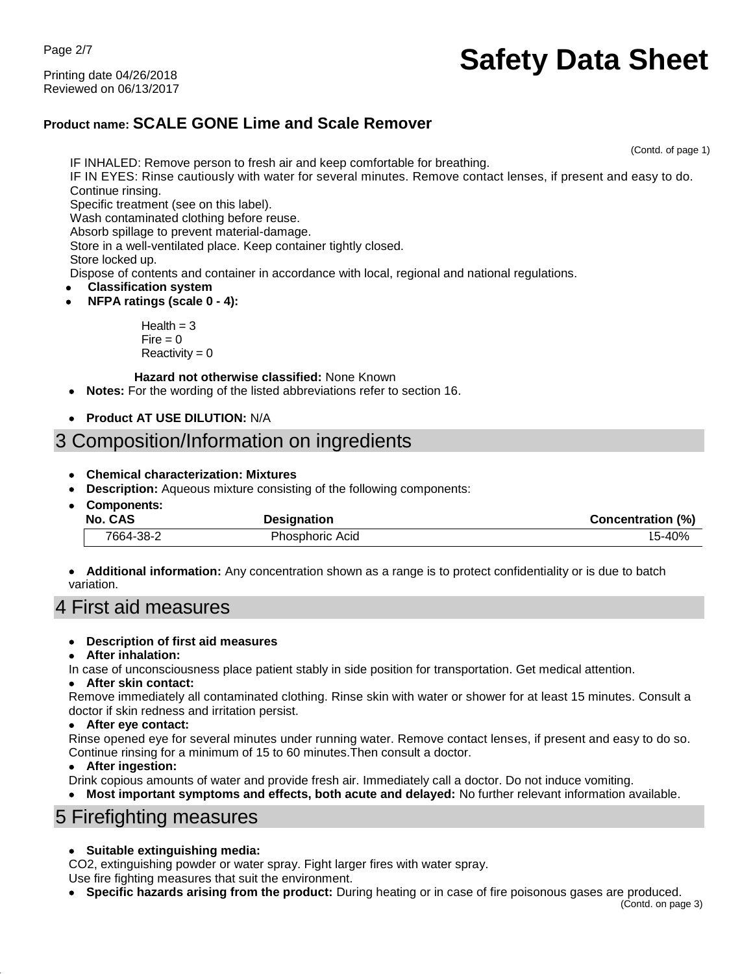Page 2/7

Printing date 04/26/2018 Reviewed on 06/13/2017

# **Safety Data Sheet**

## **Product name: SCALE GONE Lime and Scale Remover**

(Contd. of page 1)

IF INHALED: Remove person to fresh air and keep comfortable for breathing. IF IN EYES: Rinse cautiously with water for several minutes. Remove contact lenses, if present and easy to do. Continue rinsing. Specific treatment (see on this label). Wash contaminated clothing before reuse. Absorb spillage to prevent material-damage. Store in a well-ventilated place. Keep container tightly closed. Store locked up. Dispose of contents and container in accordance with local, regional and national regulations. **Classification system NFPA ratings (scale 0 - 4):**  $Health = 3$ 

 $Fire = 0$  $Reactivity = 0$ 

#### **Hazard not otherwise classified:** None Known

- **Notes:** For the wording of the listed abbreviations refer to section 16.
- **Product AT USE DILUTION:** N/A

# 3 Composition/Information on ingredients

- **Chemical characterization: Mixtures**
- **Description:** Aqueous mixture consisting of the following components:
- **Components: No. CAS Designation Designation Concentration Concentration** (%) 7664-38-2 Phosphoric Acid 15-40%
- **Additional information:** Any concentration shown as a range is to protect confidentiality or is due to batch variation.

# 4 First aid measures

- **Description of first aid measures**
- **After inhalation:**
- In case of unconsciousness place patient stably in side position for transportation. Get medical attention.

#### **After skin contact:**

Remove immediately all contaminated clothing. Rinse skin with water or shower for at least 15 minutes. Consult a doctor if skin redness and irritation persist.

#### **After eye contact:**

Rinse opened eye for several minutes under running water. Remove contact lenses, if present and easy to do so. Continue rinsing for a minimum of 15 to 60 minutes.Then consult a doctor.

#### **After ingestion:**

Drink copious amounts of water and provide fresh air. Immediately call a doctor. Do not induce vomiting.

**Most important symptoms and effects, both acute and delayed:** No further relevant information available.

## 5 Firefighting measures

#### **Suitable extinguishing media:**

CO2, extinguishing powder or water spray. Fight larger fires with water spray.

Use fire fighting measures that suit the environment.

**Specific hazards arising from the product:** During heating or in case of fire poisonous gases are produced.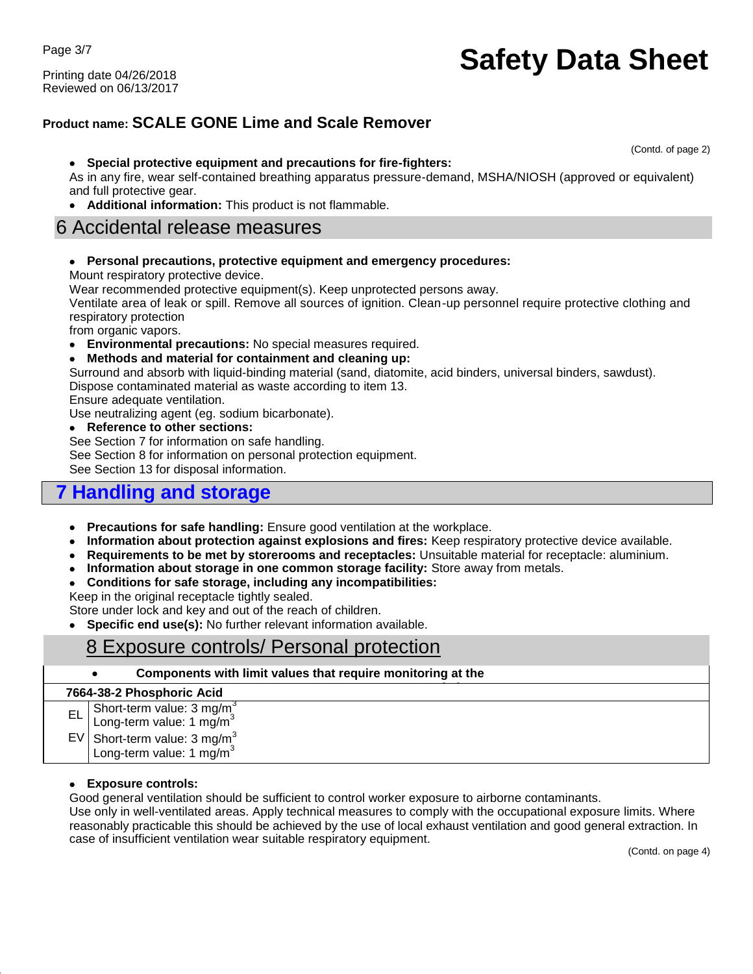Page 3/7

Printing date 04/26/2018 Reviewed on 06/13/2017

# **Safety Data Sheet**

## **Product name: SCALE GONE Lime and Scale Remover**

(Contd. of page 2)

#### **Special protective equipment and precautions for fire-fighters:**

As in any fire, wear self-contained breathing apparatus pressure-demand, MSHA/NIOSH (approved or equivalent) and full protective gear.

**Additional information:** This product is not flammable.

## 6 Accidental release measures

**Personal precautions, protective equipment and emergency procedures:**

Mount respiratory protective device.

Wear recommended protective equipment(s). Keep unprotected persons away.

Ventilate area of leak or spill. Remove all sources of ignition. Clean-up personnel require protective clothing and respiratory protection

from organic vapors.

- **Environmental precautions:** No special measures required.
- **Methods and material for containment and cleaning up:**

Surround and absorb with liquid-binding material (sand, diatomite, acid binders, universal binders, sawdust).

Dispose contaminated material as waste according to item 13.

Ensure adequate ventilation.

Use neutralizing agent (eg. sodium bicarbonate).

**Reference to other sections:**

See Section 7 for information on safe handling.

See Section 8 for information on personal protection equipment.

See Section 13 for disposal information.

## **7 Handling and storage**

- **Precautions for safe handling:** Ensure good ventilation at the workplace.
- **Information about protection against explosions and fires:** Keep respiratory protective device available.
- **Requirements to be met by storerooms and receptacles:** Unsuitable material for receptacle: aluminium.
- **Information about storage in one common storage facility:** Store away from metals.
- **Conditions for safe storage, including any incompatibilities:**

Keep in the original receptacle tightly sealed.

Store under lock and key and out of the reach of children.

**Specific end use(s):** No further relevant information available.

## 8 Exposure controls/ Personal protection

|    | Components with limit values that require monitoring at the                                                                                              |
|----|----------------------------------------------------------------------------------------------------------------------------------------------------------|
|    | 7664-38-2 Phosphoric Acid                                                                                                                                |
| EL | Short-term value: $3 \text{ mg/m}^3$<br>Long-term value: $1 \text{ mg/m}^3$<br>$EV$ Short-term value: 3 mg/m <sup>3</sup><br>Long-term value: 1 $mg/m^3$ |
|    |                                                                                                                                                          |

#### **Exposure controls:**

Good general ventilation should be sufficient to control worker exposure to airborne contaminants.

Use only in well-ventilated areas. Apply technical measures to comply with the occupational exposure limits. Where reasonably practicable this should be achieved by the use of local exhaust ventilation and good general extraction. In case of insufficient ventilation wear suitable respiratory equipment.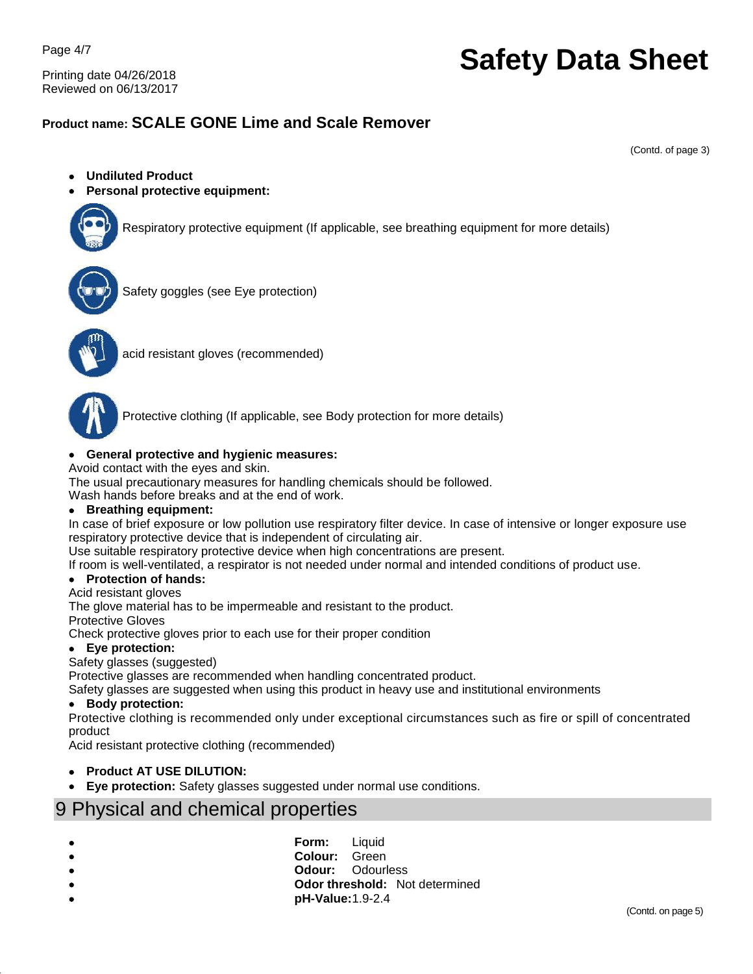Page 4/7

Printing date 04/26/2018 Reviewed on 06/13/2017

# **Safety Data Sheet**

### **Product name: SCALE GONE Lime and Scale Remover**

(Contd. of page 3)

- **Undiluted Product**
- **Personal protective equipment:**



Respiratory protective equipment (If applicable, see breathing equipment for more details)



Safety goggles (see Eye protection)



acid resistant gloves (recommended)



Protective clothing (If applicable, see Body protection for more details)

#### **General protective and hygienic measures:**

Avoid contact with the eyes and skin.

The usual precautionary measures for handling chemicals should be followed.

Wash hands before breaks and at the end of work.

#### **Breathing equipment:**

In case of brief exposure or low pollution use respiratory filter device. In case of intensive or longer exposure use respiratory protective device that is independent of circulating air.

Use suitable respiratory protective device when high concentrations are present.

If room is well-ventilated, a respirator is not needed under normal and intended conditions of product use.

#### **Protection of hands:**

#### Acid resistant gloves

The glove material has to be impermeable and resistant to the product.

Protective Gloves

Check protective gloves prior to each use for their proper condition

#### **Eye protection:**

#### Safety glasses (suggested)

Protective glasses are recommended when handling concentrated product.

Safety glasses are suggested when using this product in heavy use and institutional environments

#### **Body protection:**

Protective clothing is recommended only under exceptional circumstances such as fire or spill of concentrated product

Acid resistant protective clothing (recommended)

- **Product AT USE DILUTION:**
- **Eye protection:** Safety glasses suggested under normal use conditions.

## 9 Physical and chemical properties

- **Form:** Liquid
- **Colour:** Green
- **Odour:** Odourless
	- **Odor threshold:** Not determined
- **pH-Value:**1.9-2.4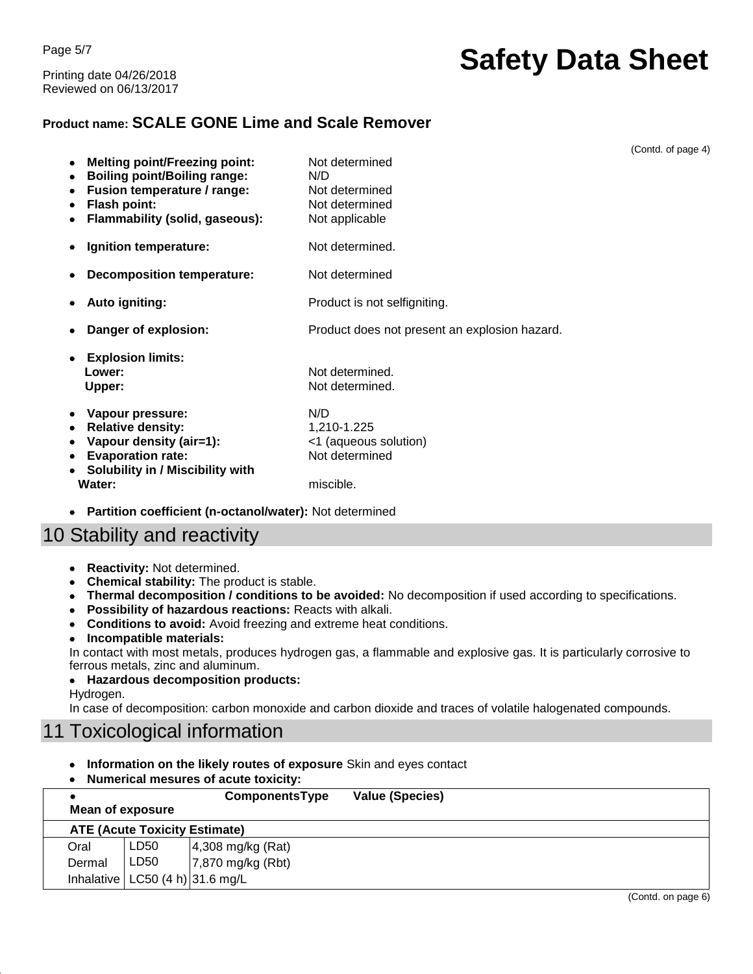Page 5/7 Printing date 04/26/2018 Reviewed on 06/13/2017

# **Safety Data Sheet**

### **Product name: SCALE GONE Lime and Scale Remover**

(Contd. of page 4) **Melting point/Freezing point:** Not determined **Boiling point/Boiling range:** N/D **Fusion temperature / range:** Not determined • Flash point: Not determined **Flammability (solid, gaseous):** Not applicable • Ignition temperature: Not determined. **Decomposition temperature:** Not determined Auto igniting: **Auto igniting:** Product is not selfigniting. **Danger of explosion:** Product does not present an explosion hazard. **Explosion limits: Lower:** Not determined. **Upper:** Not determined. **Vapour pressure:** N/D **•** Relative density: 1,210-1.225 • Vapour density (air=1):  $\leq$  (aqueous solution) • Evaporation rate: Not determined **Solubility in / Miscibility with Water: miscible. miscible. Partition coefficient (n-octanol/water):** Not determined

## 10 Stability and reactivity

- **Reactivity:** Not determined.
- **Chemical stability:** The product is stable.
- **Thermal decomposition / conditions to be avoided:** No decomposition if used according to specifications.
- **Possibility of hazardous reactions:** Reacts with alkali.
- **Conditions to avoid:** Avoid freezing and extreme heat conditions.
- **Incompatible materials:**

In contact with most metals, produces hydrogen gas, a flammable and explosive gas. It is particularly corrosive to ferrous metals, zinc and aluminum.

**Hazardous decomposition products:**

Hydrogen.

In case of decomposition: carbon monoxide and carbon dioxide and traces of volatile halogenated compounds.

## 11 Toxicological information

- **Information on the likely routes of exposure** Skin and eyes contact
- **Numerical mesures of acute toxicity:**

| Mean of exposure                     |                                       | ComponentsType               | <b>Value (Species)</b> |  |  |
|--------------------------------------|---------------------------------------|------------------------------|------------------------|--|--|
| <b>ATE (Acute Toxicity Estimate)</b> |                                       |                              |                        |  |  |
| Oral                                 | LD50                                  | $ 4,308 \text{ mg/kg}$ (Rat) |                        |  |  |
| Dermal                               | LD50                                  | $ 7,870$ mg/kg (Rbt)         |                        |  |  |
|                                      | Inhalative   LC50 $(4 h)$   31.6 mg/L |                              |                        |  |  |

(Contd. on page 6)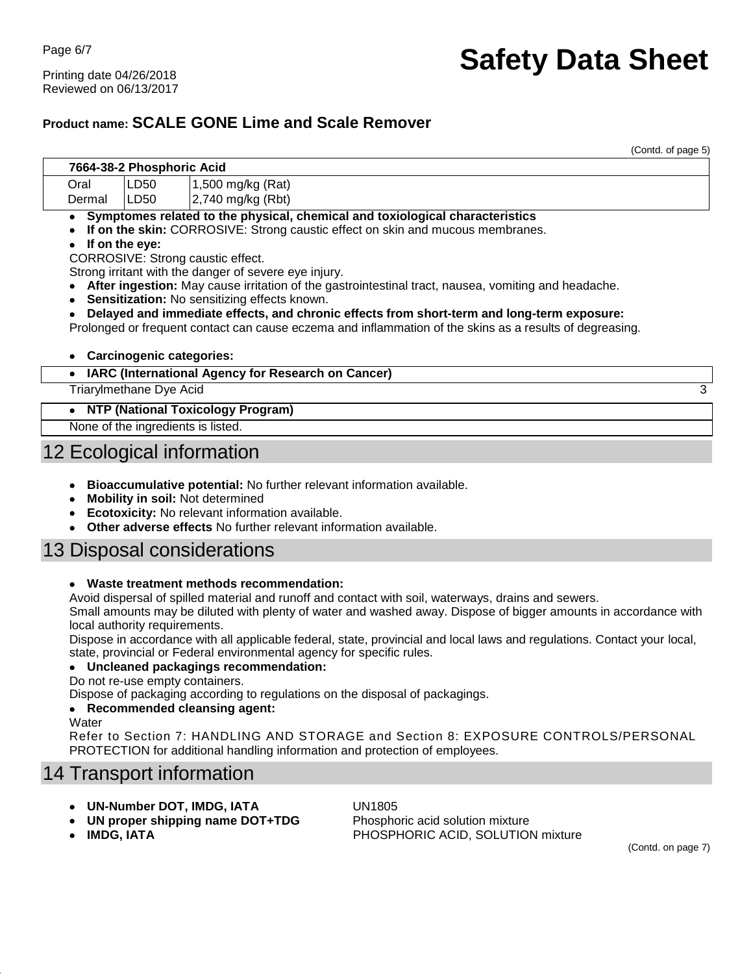Printing date 04/26/2018 Reviewed on 06/13/2017

# **Safety Data Sheet**

### **Product name: SCALE GONE Lime and Scale Remover**

(Contd. of page 5)

|        | 7664-38-2 Phosphoric Acid       |                                                                                                                                                                                                                                                                                                                                                                                                                                                                                                                                                                                                                               |   |
|--------|---------------------------------|-------------------------------------------------------------------------------------------------------------------------------------------------------------------------------------------------------------------------------------------------------------------------------------------------------------------------------------------------------------------------------------------------------------------------------------------------------------------------------------------------------------------------------------------------------------------------------------------------------------------------------|---|
| Oral   | LD50                            | 1,500 mg/kg (Rat)                                                                                                                                                                                                                                                                                                                                                                                                                                                                                                                                                                                                             |   |
| Dermal | LD <sub>50</sub>                | 2,740 mg/kg (Rbt)                                                                                                                                                                                                                                                                                                                                                                                                                                                                                                                                                                                                             |   |
| ٠      | If on the eye:                  | Symptomes related to the physical, chemical and toxiological characteristics<br>If on the skin: CORROSIVE: Strong caustic effect on skin and mucous membranes.<br>CORROSIVE: Strong caustic effect.<br>Strong irritant with the danger of severe eye injury.<br>After ingestion: May cause irritation of the gastrointestinal tract, nausea, vomiting and headache.<br>Sensitization: No sensitizing effects known.<br>Delayed and immediate effects, and chronic effects from short-term and long-term exposure:<br>Prolonged or frequent contact can cause eczema and inflammation of the skins as a results of degreasing. |   |
| ٠      | <b>Carcinogenic categories:</b> |                                                                                                                                                                                                                                                                                                                                                                                                                                                                                                                                                                                                                               |   |
| ٠      |                                 | IARC (International Agency for Research on Cancer)                                                                                                                                                                                                                                                                                                                                                                                                                                                                                                                                                                            |   |
|        | Triarylmethane Dye Acid         |                                                                                                                                                                                                                                                                                                                                                                                                                                                                                                                                                                                                                               | 3 |
|        |                                 | <b>NTP (National Toxicology Program)</b>                                                                                                                                                                                                                                                                                                                                                                                                                                                                                                                                                                                      |   |

None of the ingredients is listed.

# 12 Ecological information

- **Bioaccumulative potential:** No further relevant information available.
- **Mobility in soil:** Not determined
- **Ecotoxicity:** No relevant information available.
- **Other adverse effects** No further relevant information available.

### 13 Disposal considerations

#### **Waste treatment methods recommendation:**

Avoid dispersal of spilled material and runoff and contact with soil, waterways, drains and sewers.

Small amounts may be diluted with plenty of water and washed away. Dispose of bigger amounts in accordance with local authority requirements.

Dispose in accordance with all applicable federal, state, provincial and local laws and regulations. Contact your local, state, provincial or Federal environmental agency for specific rules.

#### **Uncleaned packagings recommendation:**

Do not re-use empty containers.

Dispose of packaging according to regulations on the disposal of packagings.

#### **Recommended cleansing agent:**

**Water** 

Refer to Section 7: HANDLING AND STORAGE and Section 8: EXPOSURE CONTROLS/PERSONAL PROTECTION for additional handling information and protection of employees.

## 14 Transport information

- **UN-Number DOT, IMDG, IATA** UN1805
- **UN proper shipping name DOT+TDG** Phosphoric acid solution mixture

**IMDG, IATA** PHOSPHORIC ACID, SOLUTION mixture

(Contd. on page 7)